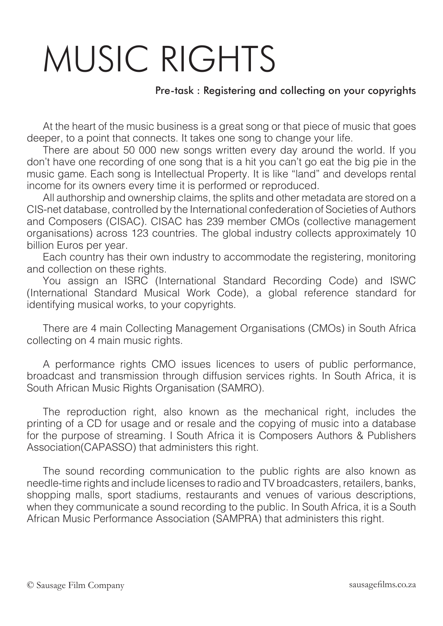## MUSIC RIGHTS

## Pre-task : Registering and collecting on your copyrights

At the heart of the music business is a great song or that piece of music that goes deeper, to a point that connects. It takes one song to change your life.

There are about 50 000 new songs written every day around the world. If you don't have one recording of one song that is a hit you can't go eat the big pie in the music game. Each song is Intellectual Property. It is like "land" and develops rental income for its owners every time it is performed or reproduced.

All authorship and ownership claims, the splits and other metadata are stored on a CIS-net database, controlled by the International confederation of Societies of Authors and Composers (CISAC). CISAC has 239 member CMOs (collective management organisations) across 123 countries. The global industry collects approximately 10 billion Euros per year.

Each country has their own industry to accommodate the registering, monitoring and collection on these rights.

You assign an ISRC (International Standard Recording Code) and ISWC (International Standard Musical Work Code), a global reference standard for identifying musical works, to your copyrights.

There are 4 main Collecting Management Organisations (CMOs) in South Africa collecting on 4 main music rights.

A performance rights CMO issues licences to users of public performance, broadcast and transmission through diffusion services rights. In South Africa, it is South African Music Rights Organisation (SAMRO).

The reproduction right, also known as the mechanical right, includes the printing of a CD for usage and or resale and the copying of music into a database for the purpose of streaming. I South Africa it is Composers Authors & Publishers Association(CAPASSO) that administers this right.

The sound recording communication to the public rights are also known as needle-time rights and include licenses to radio and TV broadcasters, retailers, banks, shopping malls, sport stadiums, restaurants and venues of various descriptions, when they communicate a sound recording to the public. In South Africa, it is a South African Music Performance Association (SAMPRA) that administers this right.